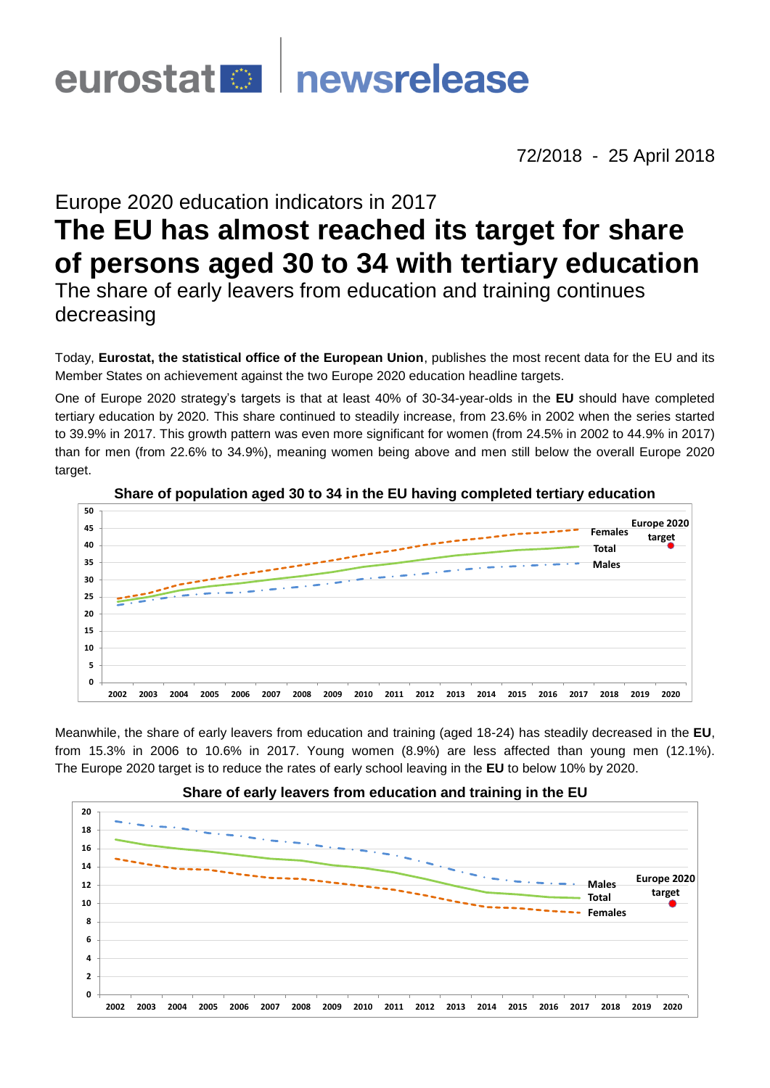# newsrelease eurostat <sup>o</sup>

72/2018 - 25 April 2018

# Europe 2020 education indicators in 2017

# **The EU has almost reached its target for share of persons aged 30 to 34 with tertiary education**

The share of early leavers from education and training continues decreasing

Today, **Eurostat, the statistical office of the European Union**, publishes the most recent data for the EU and its Member States on achievement against the two Europe 2020 education headline targets.

One of Europe 2020 strategy's targets is that at least 40% of 30-34-year-olds in the **EU** should have completed tertiary education by 2020. This share continued to steadily increase, from 23.6% in 2002 when the series started to 39.9% in 2017. This growth pattern was even more significant for women (from 24.5% in 2002 to 44.9% in 2017) than for men (from 22.6% to 34.9%), meaning women being above and men still below the overall Europe 2020 target.



### **Share of population aged 30 to 34 in the EU having completed tertiary education**

Meanwhile, the share of early leavers from education and training (aged 18-24) has steadily decreased in the **EU**, from 15.3% in 2006 to 10.6% in 2017. Young women (8.9%) are less affected than young men (12.1%). The Europe 2020 target is to reduce the rates of early school leaving in the **EU** to below 10% by 2020.



## **Share of early leavers from education and training in the EU**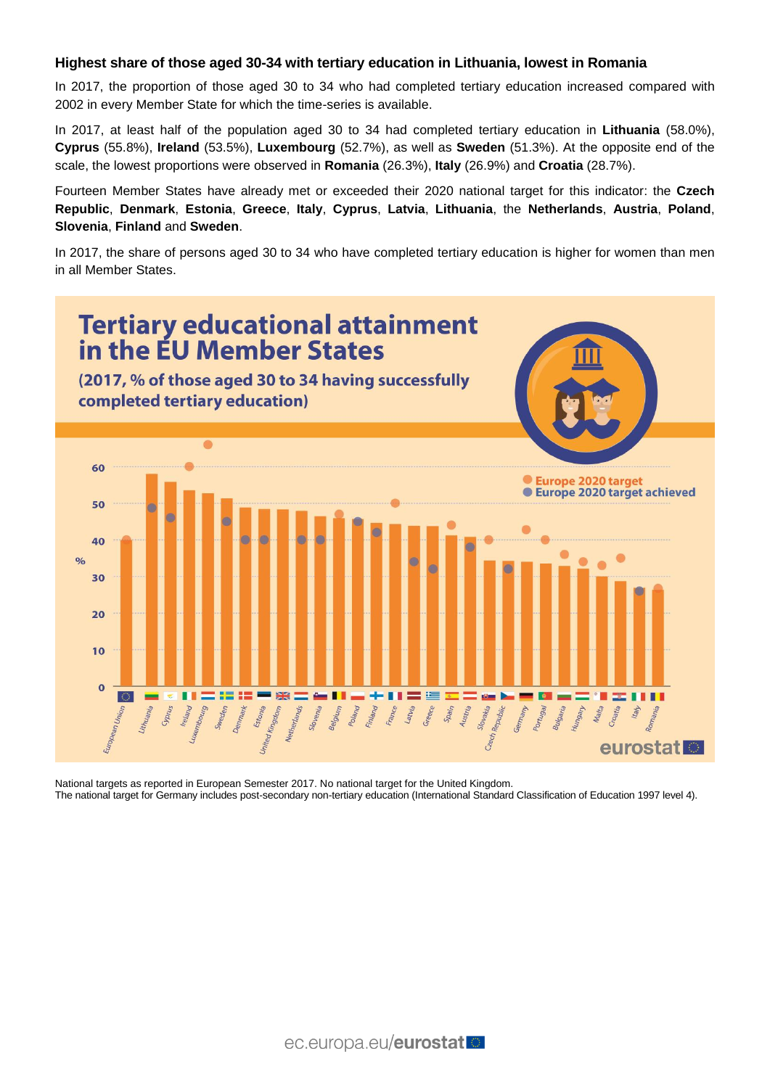#### **Highest share of those aged 30-34 with tertiary education in Lithuania, lowest in Romania**

In 2017, the proportion of those aged 30 to 34 who had completed tertiary education increased compared with 2002 in every Member State for which the time-series is available.

In 2017, at least half of the population aged 30 to 34 had completed tertiary education in **Lithuania** (58.0%), **Cyprus** (55.8%), **Ireland** (53.5%), **Luxembourg** (52.7%), as well as **Sweden** (51.3%). At the opposite end of the scale, the lowest proportions were observed in **Romania** (26.3%), **Italy** (26.9%) and **Croatia** (28.7%).

Fourteen Member States have already met or exceeded their 2020 national target for this indicator: the **Czech Republic**, **Denmark**, **Estonia**, **Greece**, **Italy**, **Cyprus**, **Latvia**, **Lithuania**, the **Netherlands**, **Austria**, **Poland**, **Slovenia**, **Finland** and **Sweden**.

In 2017, the share of persons aged 30 to 34 who have completed tertiary education is higher for women than men in all Member States.



National targets as reported in European Semester 2017. No national target for the United Kingdom. The national target for Germany includes post-secondary non-tertiary education (International Standard Classification of Education 1997 level 4).

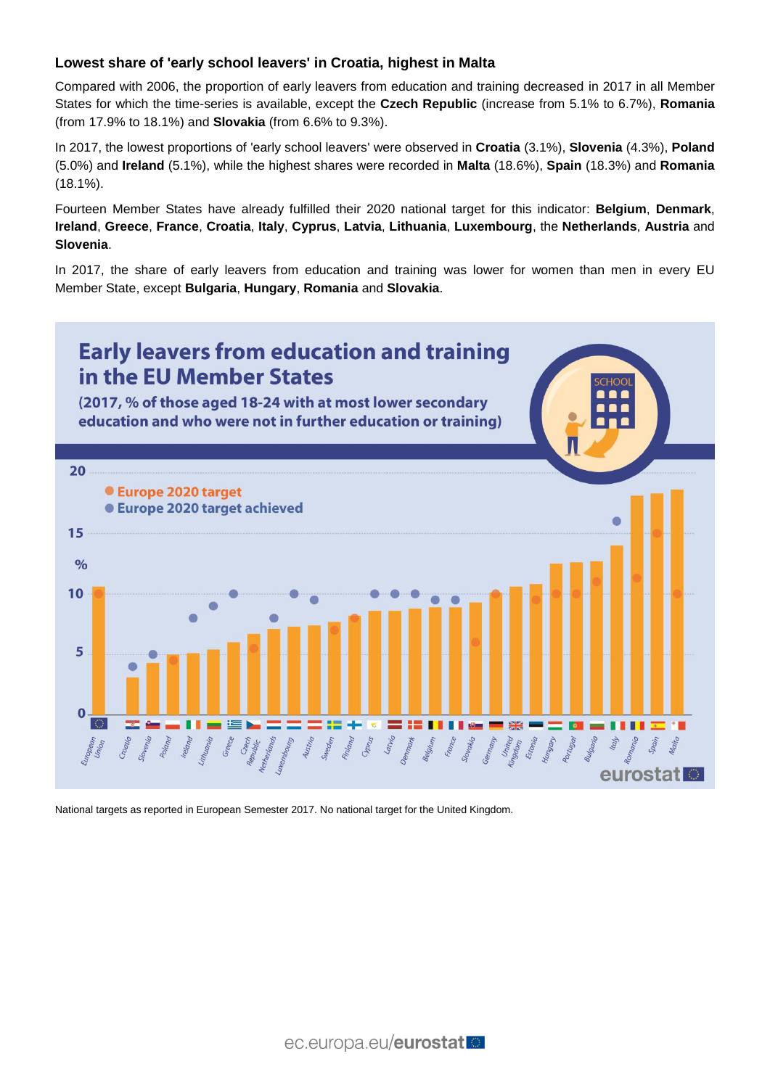## **Lowest share of 'early school leavers' in Croatia, highest in Malta**

Compared with 2006, the proportion of early leavers from education and training decreased in 2017 in all Member States for which the time-series is available, except the **Czech Republic** (increase from 5.1% to 6.7%), **Romania** (from 17.9% to 18.1%) and **Slovakia** (from 6.6% to 9.3%).

In 2017, the lowest proportions of 'early school leavers' were observed in **Croatia** (3.1%), **Slovenia** (4.3%), **Poland** (5.0%) and **Ireland** (5.1%), while the highest shares were recorded in **Malta** (18.6%), **Spain** (18.3%) and **Romania** (18.1%).

Fourteen Member States have already fulfilled their 2020 national target for this indicator: **Belgium**, **Denmark**, **Ireland**, **Greece**, **France**, **Croatia**, **Italy**, **Cyprus**, **Latvia**, **Lithuania**, **Luxembourg**, the **Netherlands**, **Austria** and **Slovenia**.

In 2017, the share of early leavers from education and training was lower for women than men in every EU Member State, except **Bulgaria**, **Hungary**, **Romania** and **Slovakia**.



National targets as reported in European Semester 2017. No national target for the United Kingdom.

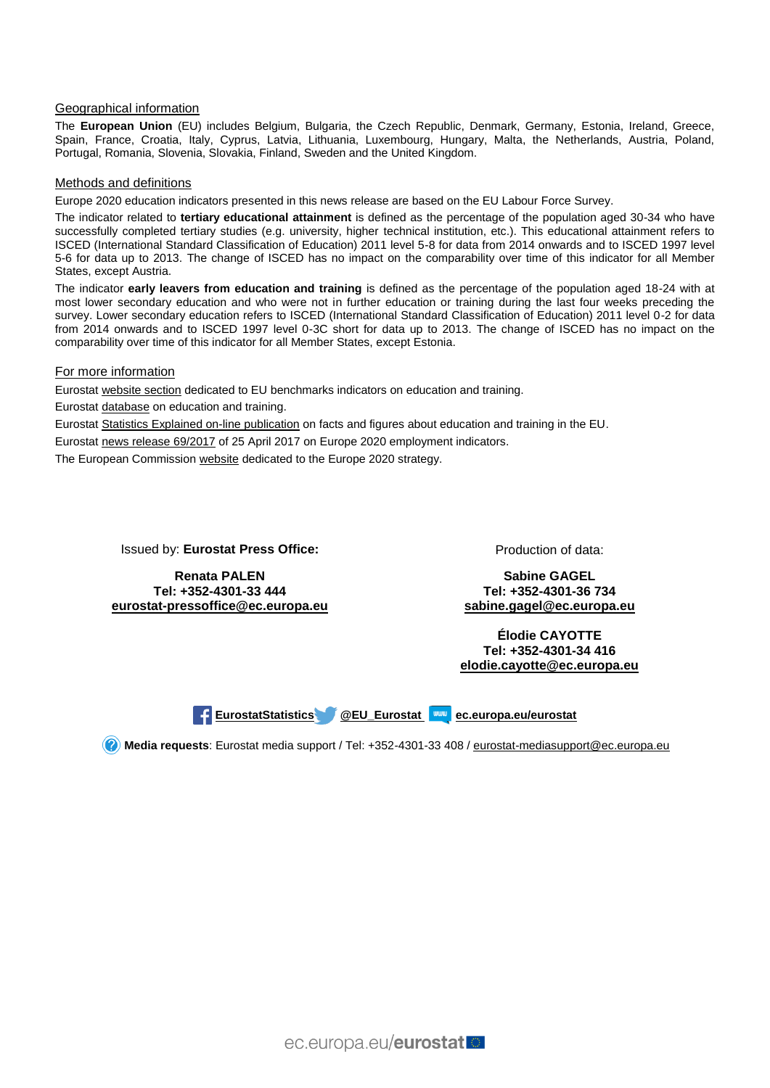#### Geographical information

The **European Union** (EU) includes Belgium, Bulgaria, the Czech Republic, Denmark, Germany, Estonia, Ireland, Greece, Spain, France, Croatia, Italy, Cyprus, Latvia, Lithuania, Luxembourg, Hungary, Malta, the Netherlands, Austria, Poland, Portugal, Romania, Slovenia, Slovakia, Finland, Sweden and the United Kingdom.

#### Methods and definitions

Europe 2020 education indicators presented in this news release are based on the EU Labour Force Survey.

The indicator related to **tertiary educational attainment** is defined as the percentage of the population aged 30-34 who have successfully completed tertiary studies (e.g. university, higher technical institution, etc.). This educational attainment refers to ISCED (International Standard Classification of Education) 2011 level 5-8 for data from 2014 onwards and to ISCED 1997 level 5-6 for data up to 2013. The change of ISCED has no impact on the comparability over time of this indicator for all Member States, except Austria.

The indicator **early leavers from education and training** is defined as the percentage of the population aged 18-24 with at most lower secondary education and who were not in further education or training during the last four weeks preceding the survey. Lower secondary education refers to ISCED (International Standard Classification of Education) 2011 level 0-2 for data from 2014 onwards and to ISCED 1997 level 0-3C short for data up to 2013. The change of ISCED has no impact on the comparability over time of this indicator for all Member States, except Estonia.

#### For more information

Eurosta[t website section](http://ec.europa.eu/eurostat/web/education-and-training/eu-benchmarks) dedicated to EU benchmarks indicators on education and training.

Eurosta[t database](http://ec.europa.eu/eurostat/web/education-and-training/data/database) on education and training.

Eurosta[t Statistics Explained on-line publication](http://ec.europa.eu/eurostat/statistics-explained/index.php/Education_and_training_in_the_EU_-_facts_and_figures) on facts and figures about education and training in the EU.

Eurosta[t news release 69/2017](http://ec.europa.eu/eurostat/en/web/products-press-releases/-/3-25042017-BP) of 25 April 2017 on Europe 2020 employment indicators.

The European Commission [website](http://ec.europa.eu/europe2020/index_en.htm) dedicated to the Europe 2020 strategy.

Issued by: **Eurostat Press Office:**

**Renata PALEN Tel: +352-4301-33 444 [eurostat-pressoffice@ec.europa.eu](mailto:eurostat-pressoffice@ec.europa.eu)** Production of data:

**Sabine GAGEL Tel: +352-4301-36 734 [sabine.gagel@ec.europa.eu](mailto:sabine.gagel@ec.europa.eu)**

**Élodie CAYOTTE Tel: +352-4301-34 416 [elodie.cayotte@ec.europa.eu](mailto:elodie.cayotte@ec.europa.eu)**

**[EurostatStatistics](http://www.facebook.com/EurostatStatistics) [@EU\\_Eurostat](https://twitter.com/EU_Eurostat)\_ WW** [ec.europa.eu/eurostat](http://ec.europa.eu/eurostat)

**Media requests**: Eurostat media support / Tel: +352-4301-33 408 / [eurostat-mediasupport@ec.europa.eu](mailto:eurostat-mediasupport@ec.europa.eu)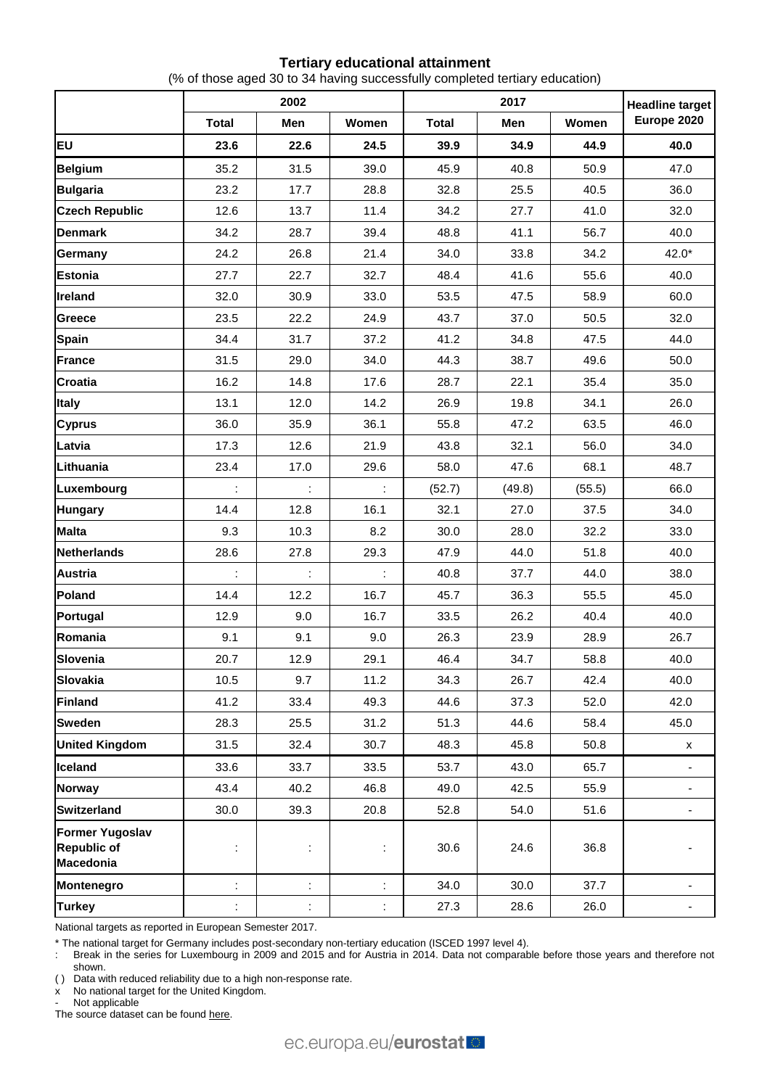#### **Tertiary educational attainment**

(% of those aged 30 to 34 having successfully completed tertiary education)

|                                                                  | 2002                 |      |       |              | <b>Headline target</b> |        |             |
|------------------------------------------------------------------|----------------------|------|-------|--------------|------------------------|--------|-------------|
|                                                                  | <b>Total</b>         | Men  | Women | <b>Total</b> | Men                    | Women  | Europe 2020 |
| EU                                                               | 23.6                 | 22.6 | 24.5  | 39.9         | 34.9                   | 44.9   | 40.0        |
| <b>Belgium</b>                                                   | 35.2                 | 31.5 | 39.0  | 45.9         | 40.8                   | 50.9   | 47.0        |
| <b>Bulgaria</b>                                                  | 23.2                 | 17.7 | 28.8  | 32.8         | 25.5                   | 40.5   | 36.0        |
| <b>Czech Republic</b>                                            | 12.6                 | 13.7 | 11.4  | 34.2         | 27.7                   | 41.0   | 32.0        |
| <b>Denmark</b>                                                   | 34.2                 | 28.7 | 39.4  | 48.8         | 41.1                   | 56.7   | 40.0        |
| Germany                                                          | 24.2                 | 26.8 | 21.4  | 34.0         | 33.8                   | 34.2   | $42.0*$     |
| <b>Estonia</b>                                                   | 27.7                 | 22.7 | 32.7  | 48.4         | 41.6                   | 55.6   | 40.0        |
| Ireland                                                          | 32.0                 | 30.9 | 33.0  | 53.5         | 47.5                   | 58.9   | 60.0        |
| Greece                                                           | 23.5                 | 22.2 | 24.9  | 43.7         | 37.0                   | 50.5   | 32.0        |
| <b>Spain</b>                                                     | 34.4                 | 31.7 | 37.2  | 41.2         | 34.8                   | 47.5   | 44.0        |
| <b>France</b>                                                    | 31.5                 | 29.0 | 34.0  | 44.3         | 38.7                   | 49.6   | 50.0        |
| <b>Croatia</b>                                                   | 16.2                 | 14.8 | 17.6  | 28.7         | 22.1                   | 35.4   | 35.0        |
| <b>Italy</b>                                                     | 13.1                 | 12.0 | 14.2  | 26.9         | 19.8                   | 34.1   | 26.0        |
| <b>Cyprus</b>                                                    | 36.0                 | 35.9 | 36.1  | 55.8         | 47.2                   | 63.5   | 46.0        |
| Latvia                                                           | 17.3                 | 12.6 | 21.9  | 43.8         | 32.1                   | 56.0   | 34.0        |
| Lithuania                                                        | 23.4                 | 17.0 | 29.6  | 58.0         | 47.6                   | 68.1   | 48.7        |
| Luxembourg                                                       | $\ddot{\phantom{a}}$ | ÷    | ÷     | (52.7)       | (49.8)                 | (55.5) | 66.0        |
| <b>Hungary</b>                                                   | 14.4                 | 12.8 | 16.1  | 32.1         | 27.0                   | 37.5   | 34.0        |
| <b>Malta</b>                                                     | 9.3                  | 10.3 | 8.2   | 30.0         | 28.0                   | 32.2   | 33.0        |
| <b>Netherlands</b>                                               | 28.6                 | 27.8 | 29.3  | 47.9         | 44.0                   | 51.8   | 40.0        |
| <b>Austria</b>                                                   |                      |      |       | 40.8         | 37.7                   | 44.0   | 38.0        |
| Poland                                                           | 14.4                 | 12.2 | 16.7  | 45.7         | 36.3                   | 55.5   | 45.0        |
| Portugal                                                         | 12.9                 | 9.0  | 16.7  | 33.5         | 26.2                   | 40.4   | 40.0        |
| Romania                                                          | 9.1                  | 9.1  | 9.0   | 26.3         | 23.9                   | 28.9   | 26.7        |
| <b>Slovenia</b>                                                  | 20.7                 | 12.9 | 29.1  | 46.4         | 34.7                   | 58.8   | 40.0        |
| <b>Slovakia</b>                                                  | 10.5                 | 9.7  | 11.2  | 34.3         | 26.7                   | 42.4   | 40.0        |
| <b>Finland</b>                                                   | 41.2                 | 33.4 | 49.3  | 44.6         | 37.3                   | 52.0   | 42.0        |
| <b>Sweden</b>                                                    | 28.3                 | 25.5 | 31.2  | 51.3         | 44.6                   | 58.4   | 45.0        |
| <b>United Kingdom</b>                                            | 31.5                 | 32.4 | 30.7  | 48.3         | 45.8                   | 50.8   | x           |
| Iceland                                                          | 33.6                 | 33.7 | 33.5  | 53.7         | 43.0                   | 65.7   |             |
| <b>Norway</b>                                                    | 43.4                 | 40.2 | 46.8  | 49.0         | 42.5                   | 55.9   |             |
| <b>Switzerland</b>                                               | 30.0                 | 39.3 | 20.8  | 52.8         | 54.0                   | 51.6   |             |
| <b>Former Yugoslav</b><br><b>Republic of</b><br><b>Macedonia</b> | ÷                    | ÷    | ÷     | 30.6         | 24.6                   | 36.8   |             |
| Montenegro                                                       | ÷                    | ÷.   | t,    | 34.0         | 30.0                   | 37.7   |             |
| <b>Turkey</b>                                                    | $\ddot{\phantom{a}}$ | t,   | t,    | 27.3         | 28.6                   | 26.0   |             |

National targets as reported in European Semester 2017.

\* The national target for Germany includes post-secondary non-tertiary education (ISCED 1997 level 4).

: Break in the series for Luxembourg in 2009 and 2015 and for Austria in 2014. Data not comparable before those years and therefore not shown.

( ) Data with reduced reliability due to a high non-response rate.

 $x'$  No national target for the United Kingdom.

Not applicable

The source dataset can be foun[d here.](http://appsso.eurostat.ec.europa.eu/nui/show.do?query=BOOKMARK_DS-591613_QID_54662F7C_UID_-3F171EB0&layout=TIME,C,X,0;GEO,L,Y,0;SEX,L,Z,0;AGE,L,Z,1;UNIT,L,Z,2;ISCED11,L,Z,3;INDICATORS,C,Z,4;&zSelection=DS-591613UNIT,PC;DS-591613SEX,T;DS-591613AGE,Y15-64;DS-591613INDICATORS,OBS_FLAG;DS-591613ISCED11,ED0-2;&rankName1=ISCED11_1_2_-1_2&rankName2=UNIT_1_2_-1_2&rankName3=AGE_1_2_-1_2&rankName4=INDICATORS_1_2_-1_2&rankName5=SEX_1_2_-1_2&rankName6=TIME_1_0_0_0&rankName7=GEO_1_2_0_1&sortC=ASC_-1_FIRST&rStp=&cStp=&rDCh=&cDCh=&rDM=true&cDM=true&footnes=false&empty=false&wai=false&time_mode=ROLLING&time_most_recent=true&lang=EN&cfo=%23%23%23%2C%23%23%23.%23%23%23)